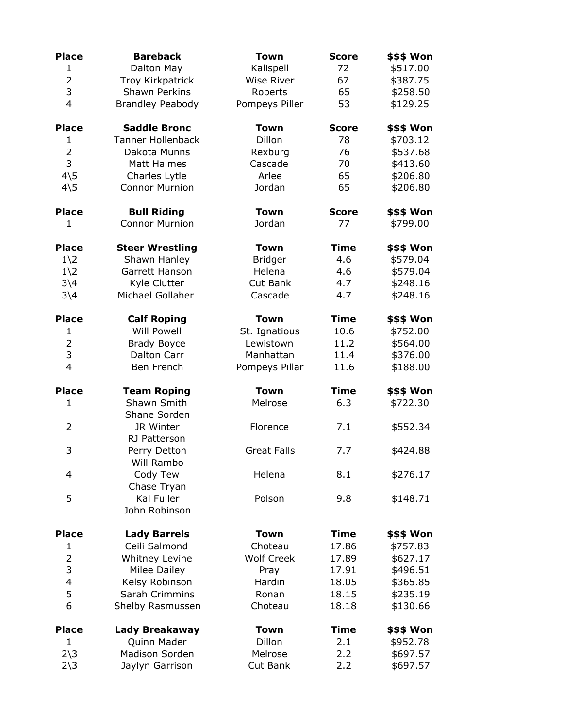| <b>Place</b>                 | <b>Bareback</b>             | Town               | <b>Score</b> | <b>\$\$\$ Won</b> |
|------------------------------|-----------------------------|--------------------|--------------|-------------------|
| $\mathbf{1}$                 | Dalton May                  | Kalispell          | 72           | \$517.00          |
| $\overline{2}$               | Troy Kirkpatrick            | <b>Wise River</b>  | 67           | \$387.75          |
| 3                            | <b>Shawn Perkins</b>        | Roberts            | 65           | \$258.50          |
| $\overline{4}$               | <b>Brandley Peabody</b>     | Pompeys Piller     | 53           | \$129.25          |
| <b>Place</b>                 | <b>Saddle Bronc</b>         | <b>Town</b>        | <b>Score</b> | \$\$\$ Won        |
| $\mathbf{1}$                 | <b>Tanner Hollenback</b>    | Dillon             | 78           | \$703.12          |
| $\overline{2}$               | Dakota Munns                | Rexburg            | 76           | \$537.68          |
| 3                            | Matt Halmes                 | Cascade            | 70           | \$413.60          |
| $4\overline{5}$              | Charles Lytle               | Arlee              | 65           | \$206.80          |
| $4\overline{\smash{\big)}5}$ | <b>Connor Murnion</b>       | Jordan             | 65           | \$206.80          |
| <b>Place</b>                 | <b>Bull Riding</b>          | <b>Town</b>        | <b>Score</b> | \$\$\$ Won        |
| $\mathbf{1}$                 | <b>Connor Murnion</b>       | Jordan             | 77           | \$799.00          |
| <b>Place</b>                 | <b>Steer Wrestling</b>      | <b>Town</b>        | <b>Time</b>  | \$\$\$ Won        |
| $1\angle 2$                  | Shawn Hanley                | <b>Bridger</b>     | 4.6          | \$579.04          |
| $1\angle 2$                  | Garrett Hanson              | Helena             | 4.6          | \$579.04          |
| $3\backslash4$               | Kyle Clutter                | Cut Bank           | 4.7          | \$248.16          |
| $3\overline{\phantom{0}}4$   | Michael Gollaher            | Cascade            | 4.7          | \$248.16          |
| <b>Place</b>                 | <b>Calf Roping</b>          | <b>Town</b>        | <b>Time</b>  | \$\$\$ Won        |
| $\mathbf{1}$                 | <b>Will Powell</b>          | St. Ignatious      | 10.6         | \$752.00          |
| $\overline{2}$               | <b>Brady Boyce</b>          | Lewistown          | 11.2         | \$564.00          |
| 3                            | Dalton Carr                 | Manhattan          | 11.4         | \$376.00          |
| $\overline{4}$               | Ben French                  | Pompeys Pillar     | 11.6         | \$188.00          |
| <b>Place</b>                 | <b>Team Roping</b>          | <b>Town</b>        | <b>Time</b>  | \$\$\$ Won        |
| $\mathbf{1}$                 | Shawn Smith<br>Shane Sorden | Melrose            | 6.3          | \$722.30          |
| 2                            | JR Winter                   | Florence           | 7.1          | \$552.34          |
|                              | RJ Patterson                |                    |              |                   |
| 3                            | Perry Detton                | <b>Great Falls</b> | 7.7          | \$424.88          |
|                              | Will Rambo                  |                    |              |                   |
| 4                            | Cody Tew                    | Helena             | 8.1          | \$276.17          |
|                              | Chase Tryan                 |                    |              |                   |
| 5                            | Kal Fuller                  | Polson             | 9.8          | \$148.71          |
|                              | John Robinson               |                    |              |                   |
| <b>Place</b>                 | <b>Lady Barrels</b>         | <b>Town</b>        | <b>Time</b>  | \$\$\$ Won        |
| 1                            | Ceili Salmond               | Choteau            | 17.86        | \$757.83          |
| $\overline{2}$               | <b>Whitney Levine</b>       | <b>Wolf Creek</b>  | 17.89        | \$627.17          |
| 3                            | Milee Dailey                | Pray               | 17.91        | \$496.51          |
| 4                            | Kelsy Robinson              | Hardin             | 18.05        | \$365.85          |
| 5                            | Sarah Crimmins              | Ronan              | 18.15        | \$235.19          |
| 6                            | Shelby Rasmussen            | Choteau            | 18.18        | \$130.66          |
| <b>Place</b>                 | Lady Breakaway              | <b>Town</b>        | <b>Time</b>  | \$\$\$ Won        |
| $\mathbf{1}$                 | Quinn Mader                 | Dillon             | 2.1          | \$952.78          |
| $2\overline{\smash)3}$       | Madison Sorden              | Melrose            | 2.2          | \$697.57          |
| $2\overline{\smash)3}$       | Jaylyn Garrison             | Cut Bank           | 2.2          | \$697.57          |